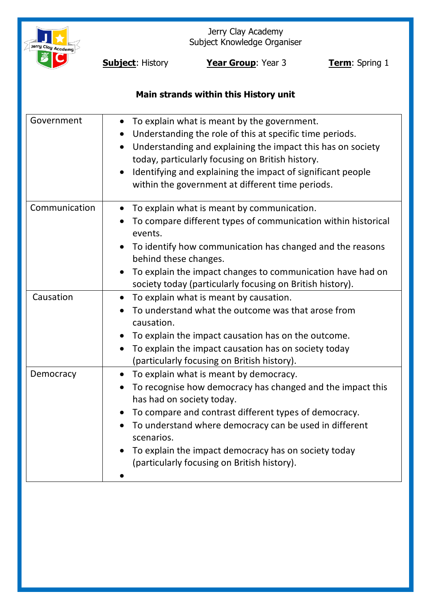

Jerry Clay Academy Subject Knowledge Organiser

**Subject:** History **Year Group**: Year 3 **Term**: Spring 1

# **Main strands within this History unit**

| Government    | To explain what is meant by the government.<br>Understanding the role of this at specific time periods.<br>Understanding and explaining the impact this has on society<br>today, particularly focusing on British history.                                                                                                                                                             |
|---------------|----------------------------------------------------------------------------------------------------------------------------------------------------------------------------------------------------------------------------------------------------------------------------------------------------------------------------------------------------------------------------------------|
|               | Identifying and explaining the impact of significant people<br>within the government at different time periods.                                                                                                                                                                                                                                                                        |
| Communication | To explain what is meant by communication.<br>To compare different types of communication within historical<br>events.<br>To identify how communication has changed and the reasons<br>behind these changes.<br>To explain the impact changes to communication have had on<br>society today (particularly focusing on British history).                                                |
| Causation     | To explain what is meant by causation.<br>$\bullet$<br>To understand what the outcome was that arose from<br>causation.<br>To explain the impact causation has on the outcome.<br>To explain the impact causation has on society today<br>(particularly focusing on British history).                                                                                                  |
| Democracy     | To explain what is meant by democracy.<br>To recognise how democracy has changed and the impact this<br>$\bullet$<br>has had on society today.<br>To compare and contrast different types of democracy.<br>To understand where democracy can be used in different<br>scenarios.<br>To explain the impact democracy has on society today<br>(particularly focusing on British history). |